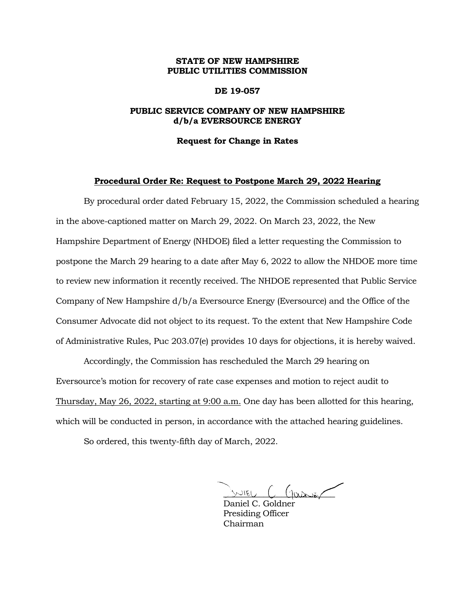# **STATE OF NEW HAMPSHIRE PUBLIC UTILITIES COMMISSION**

## **DE 19-057**

# **PUBLIC SERVICE COMPANY OF NEW HAMPSHIRE d/b/a EVERSOURCE ENERGY**

#### **Request for Change in Rates**

### **Procedural Order Re: Request to Postpone March 29, 2022 Hearing**

By procedural order dated February 15, 2022, the Commission scheduled a hearing in the above-captioned matter on March 29, 2022. On March 23, 2022, the New Hampshire Department of Energy (NHDOE) filed a letter requesting the Commission to postpone the March 29 hearing to a date after May 6, 2022 to allow the NHDOE more time to review new information it recently received. The NHDOE represented that Public Service Company of New Hampshire d/b/a Eversource Energy (Eversource) and the Office of the Consumer Advocate did not object to its request. To the extent that New Hampshire Code of Administrative Rules, Puc 203.07(e) provides 10 days for objections, it is hereby waived.

Accordingly, the Commission has rescheduled the March 29 hearing on Eversource's motion for recovery of rate case expenses and motion to reject audit to Thursday, May 26, 2022, starting at 9:00 a.m. One day has been allotted for this hearing, which will be conducted in person, in accordance with the attached hearing guidelines.

So ordered, this twenty-fifth day of March, 2022.

\_\_\_\_\_\_\_\_\_\_\_\_\_\_\_\_\_\_\_\_\_\_\_\_\_

Daniel C. Goldner Presiding Officer Chairman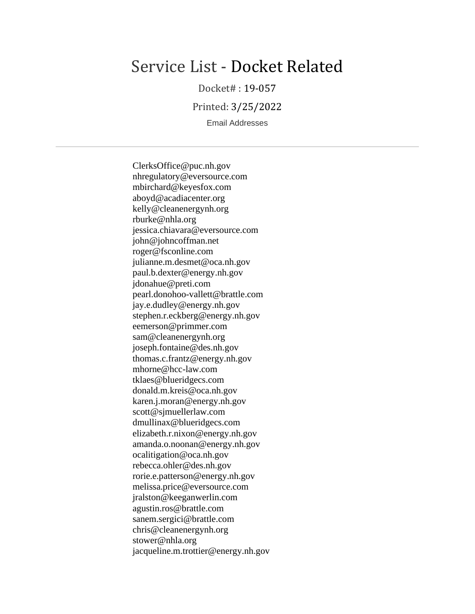# Service List - Docket Related

Docket# : 19-057

Printed: 3/25/2022

Email Addresses

ClerksOffice@puc.nh.gov nhregulatory@eversource.com mbirchard@keyesfox.com aboyd@acadiacenter.org kelly@cleanenergynh.org rburke@nhla.org jessica.chiavara@eversource.com john@johncoffman.net roger@fsconline.com julianne.m.desmet@oca.nh.gov paul.b.dexter@energy.nh.gov jdonahue@preti.com pearl.donohoo-vallett@brattle.com jay.e.dudley@energy.nh.gov stephen.r.eckberg@energy.nh.gov eemerson@primmer.com sam@cleanenergynh.org joseph.fontaine@des.nh.gov thomas.c.frantz@energy.nh.gov mhorne@hcc-law.com tklaes@blueridgecs.com donald.m.kreis@oca.nh.gov karen.j.moran@energy.nh.gov scott@sjmuellerlaw.com dmullinax@blueridgecs.com elizabeth.r.nixon@energy.nh.gov amanda.o.noonan@energy.nh.gov ocalitigation@oca.nh.gov rebecca.ohler@des.nh.gov rorie.e.patterson@energy.nh.gov melissa.price@eversource.com jralston@keeganwerlin.com agustin.ros@brattle.com sanem.sergici@brattle.com chris@cleanenergynh.org stower@nhla.org jacqueline.m.trottier@energy.nh.gov